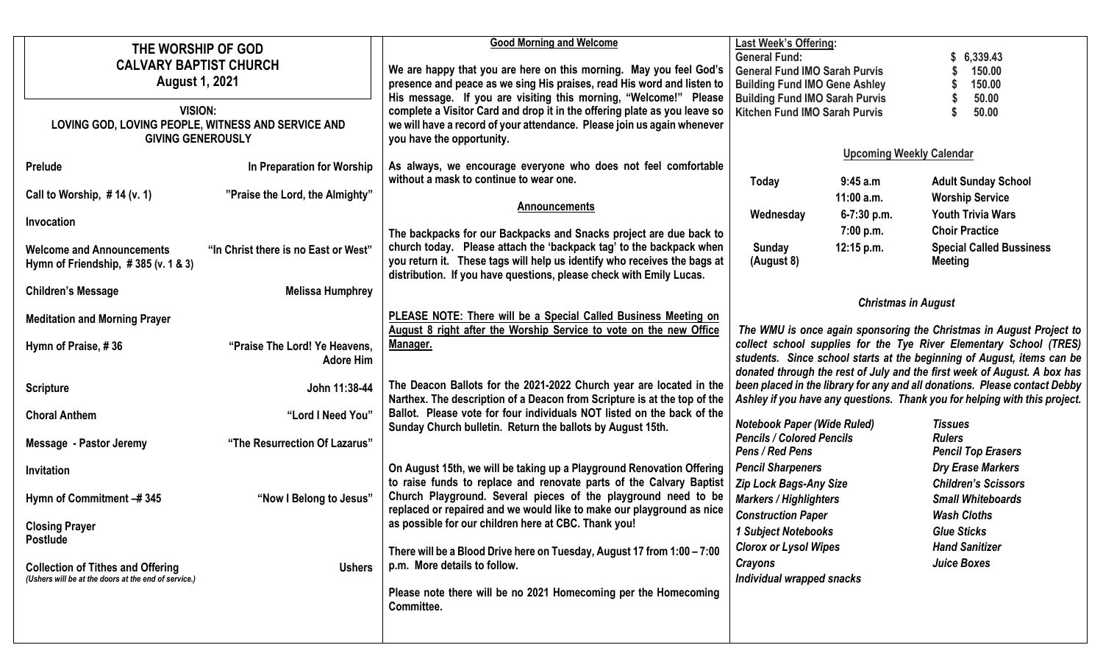| THE WORSHIP OF GOD<br><b>CALVARY BAPTIST CHURCH</b><br><b>August 1, 2021</b><br><b>VISION:</b><br>LOVING GOD, LOVING PEOPLE, WITNESS AND SERVICE AND<br><b>GIVING GENEROUSLY</b> |                                                               | <b>Good Morning and Welcome</b><br>We are happy that you are here on this morning. May you feel God's<br>presence and peace as we sing His praises, read His word and listen to<br>His message. If you are visiting this morning, "Welcome!" Please<br>complete a Visitor Card and drop it in the offering plate as you leave so<br>we will have a record of your attendance. Please join us again whenever<br>you have the opportunity. | <b>Last Week's Offering:</b><br><b>General Fund:</b><br>6,339.43<br><b>General Fund IMO Sarah Purvis</b><br>150.00<br><b>Building Fund IMO Gene Ashley</b><br>150.00<br><b>Building Fund IMO Sarah Purvis</b><br>50.00<br>Kitchen Fund IMO Sarah Purvis<br>50.00 |                                            |                                                                                                                                                                                                                                                                                                 |
|----------------------------------------------------------------------------------------------------------------------------------------------------------------------------------|---------------------------------------------------------------|------------------------------------------------------------------------------------------------------------------------------------------------------------------------------------------------------------------------------------------------------------------------------------------------------------------------------------------------------------------------------------------------------------------------------------------|------------------------------------------------------------------------------------------------------------------------------------------------------------------------------------------------------------------------------------------------------------------|--------------------------------------------|-------------------------------------------------------------------------------------------------------------------------------------------------------------------------------------------------------------------------------------------------------------------------------------------------|
| Prelude<br>Call to Worship, $# 14 (v. 1)$                                                                                                                                        | In Preparation for Worship<br>"Praise the Lord, the Almighty" | As always, we encourage everyone who does not feel comfortable<br>without a mask to continue to wear one.                                                                                                                                                                                                                                                                                                                                | <b>Today</b>                                                                                                                                                                                                                                                     | <b>Upcoming Weekly Calendar</b><br>9:45a.m | <b>Adult Sunday School</b>                                                                                                                                                                                                                                                                      |
| Invocation                                                                                                                                                                       |                                                               | <b>Announcements</b><br>The backpacks for our Backpacks and Snacks project are due back to                                                                                                                                                                                                                                                                                                                                               | Wednesday                                                                                                                                                                                                                                                        | $11:00$ a.m.<br>6-7:30 p.m.<br>7:00 p.m.   | <b>Worship Service</b><br><b>Youth Trivia Wars</b><br><b>Choir Practice</b>                                                                                                                                                                                                                     |
| <b>Welcome and Announcements</b><br>Hymn of Friendship, $\# 385$ (v. 1 & 3)                                                                                                      | "In Christ there is no East or West"                          | church today. Please attach the 'backpack tag' to the backpack when<br>you return it. These tags will help us identify who receives the bags at<br>distribution. If you have questions, please check with Emily Lucas.                                                                                                                                                                                                                   | Sunday<br>(August 8)                                                                                                                                                                                                                                             | 12:15 p.m.                                 | <b>Special Called Bussiness</b><br><b>Meeting</b>                                                                                                                                                                                                                                               |
| <b>Children's Message</b>                                                                                                                                                        | <b>Melissa Humphrey</b>                                       |                                                                                                                                                                                                                                                                                                                                                                                                                                          |                                                                                                                                                                                                                                                                  | <b>Christmas in August</b>                 |                                                                                                                                                                                                                                                                                                 |
| <b>Meditation and Morning Prayer</b>                                                                                                                                             |                                                               | PLEASE NOTE: There will be a Special Called Business Meeting on                                                                                                                                                                                                                                                                                                                                                                          |                                                                                                                                                                                                                                                                  |                                            |                                                                                                                                                                                                                                                                                                 |
| Hymn of Praise, #36                                                                                                                                                              | "Praise The Lord! Ye Heavens,<br><b>Adore Him</b>             | August 8 right after the Worship Service to vote on the new Office<br>Manager.                                                                                                                                                                                                                                                                                                                                                           |                                                                                                                                                                                                                                                                  |                                            | The WMU is once again sponsoring the Christmas in August Project to<br>collect school supplies for the Tye River Elementary School (TRES)<br>students. Since school starts at the beginning of August, items can be<br>donated through the rest of July and the first week of August. A box has |
| <b>Scripture</b>                                                                                                                                                                 | John 11:38-44                                                 | The Deacon Ballots for the 2021-2022 Church year are located in the<br>Narthex. The description of a Deacon from Scripture is at the top of the                                                                                                                                                                                                                                                                                          |                                                                                                                                                                                                                                                                  |                                            | been placed in the library for any and all donations. Please contact Debby<br>Ashley if you have any questions. Thank you for helping with this project.                                                                                                                                        |
| <b>Choral Anthem</b>                                                                                                                                                             | "Lord I Need You"                                             | Ballot. Please vote for four individuals NOT listed on the back of the<br>Sunday Church bulletin. Return the ballots by August 15th.                                                                                                                                                                                                                                                                                                     | <b>Notebook Paper (Wide Ruled)</b><br><b>Pencils / Colored Pencils</b>                                                                                                                                                                                           |                                            | <b>Tissues</b><br><b>Rulers</b>                                                                                                                                                                                                                                                                 |
| <b>Message - Pastor Jeremy</b>                                                                                                                                                   | "The Resurrection Of Lazarus"                                 |                                                                                                                                                                                                                                                                                                                                                                                                                                          | Pens / Red Pens                                                                                                                                                                                                                                                  |                                            | <b>Pencil Top Erasers</b>                                                                                                                                                                                                                                                                       |
| Invitation                                                                                                                                                                       |                                                               | On August 15th, we will be taking up a Playground Renovation Offering<br>to raise funds to replace and renovate parts of the Calvary Baptist                                                                                                                                                                                                                                                                                             | <b>Pencil Sharpeners</b><br><b>Zip Lock Bags-Any Size</b>                                                                                                                                                                                                        |                                            | <b>Dry Erase Markers</b><br><b>Children's Scissors</b>                                                                                                                                                                                                                                          |
| Hymn of Commitment -#345                                                                                                                                                         | "Now I Belong to Jesus"                                       | Church Playground. Several pieces of the playground need to be<br>replaced or repaired and we would like to make our playground as nice                                                                                                                                                                                                                                                                                                  | <b>Markers / Highlighters</b><br><b>Construction Paper</b>                                                                                                                                                                                                       |                                            | <b>Small Whiteboards</b><br><b>Wash Cloths</b>                                                                                                                                                                                                                                                  |
| <b>Closing Prayer</b><br><b>Postlude</b>                                                                                                                                         |                                                               | as possible for our children here at CBC. Thank you!                                                                                                                                                                                                                                                                                                                                                                                     | 1 Subject Notebooks                                                                                                                                                                                                                                              |                                            | <b>Glue Sticks</b><br><b>Hand Sanitizer</b>                                                                                                                                                                                                                                                     |
| <b>Collection of Tithes and Offering</b><br>(Ushers will be at the doors at the end of service.)                                                                                 | <b>Ushers</b>                                                 | There will be a Blood Drive here on Tuesday, August 17 from 1:00 - 7:00<br>p.m. More details to follow.<br>Please note there will be no 2021 Homecoming per the Homecoming<br>Committee.                                                                                                                                                                                                                                                 | <b>Clorox or Lysol Wipes</b><br><b>Crayons</b><br>Individual wrapped snacks                                                                                                                                                                                      |                                            | <b>Juice Boxes</b>                                                                                                                                                                                                                                                                              |